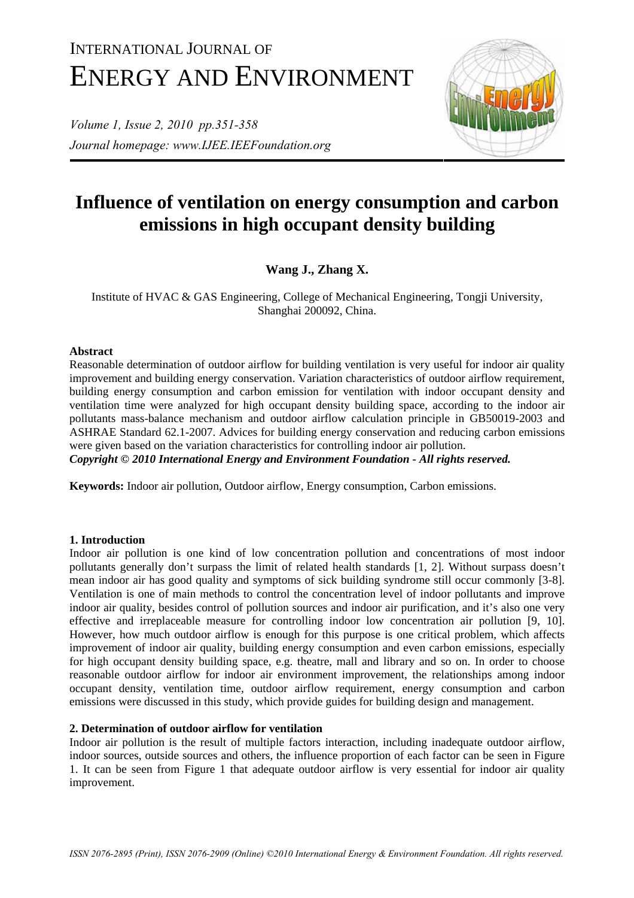# INTERNATIONAL JOURNAL OF ENERGY AND ENVIRONMENT

*Volume 1, Issue 2, 2010 pp.351-358 Journal homepage: www.IJEE.IEEFoundation.org* 



## **Influence of ventilation on energy consumption and carbon emissions in high occupant density building**

### **Wang J., Zhang X.**

Institute of HVAC & GAS Engineering, College of Mechanical Engineering, Tongji University, Shanghai 200092, China.

#### **Abstract**

Reasonable determination of outdoor airflow for building ventilation is very useful for indoor air quality improvement and building energy conservation. Variation characteristics of outdoor airflow requirement, building energy consumption and carbon emission for ventilation with indoor occupant density and ventilation time were analyzed for high occupant density building space, according to the indoor air pollutants mass-balance mechanism and outdoor airflow calculation principle in GB50019-2003 and ASHRAE Standard 62.1-2007. Advices for building energy conservation and reducing carbon emissions were given based on the variation characteristics for controlling indoor air pollution. *Copyright © 2010 International Energy and Environment Foundation - All rights reserved.*

**Keywords:** Indoor air pollution, Outdoor airflow, Energy consumption, Carbon emissions.

#### **1. Introduction**

Indoor air pollution is one kind of low concentration pollution and concentrations of most indoor pollutants generally don't surpass the limit of related health standards [1, 2]. Without surpass doesn't mean indoor air has good quality and symptoms of sick building syndrome still occur commonly [3-8]. Ventilation is one of main methods to control the concentration level of indoor pollutants and improve indoor air quality, besides control of pollution sources and indoor air purification, and it's also one very effective and irreplaceable measure for controlling indoor low concentration air pollution [9, 10]. However, how much outdoor airflow is enough for this purpose is one critical problem, which affects improvement of indoor air quality, building energy consumption and even carbon emissions, especially for high occupant density building space, e.g. theatre, mall and library and so on. In order to choose reasonable outdoor airflow for indoor air environment improvement, the relationships among indoor occupant density, ventilation time, outdoor airflow requirement, energy consumption and carbon emissions were discussed in this study, which provide guides for building design and management.

#### **2. Determination of outdoor airflow for ventilation**

Indoor air pollution is the result of multiple factors interaction, including inadequate outdoor airflow, indoor sources, outside sources and others, the influence proportion of each factor can be seen in Figure 1. It can be seen from Figure 1 that adequate outdoor airflow is very essential for indoor air quality improvement.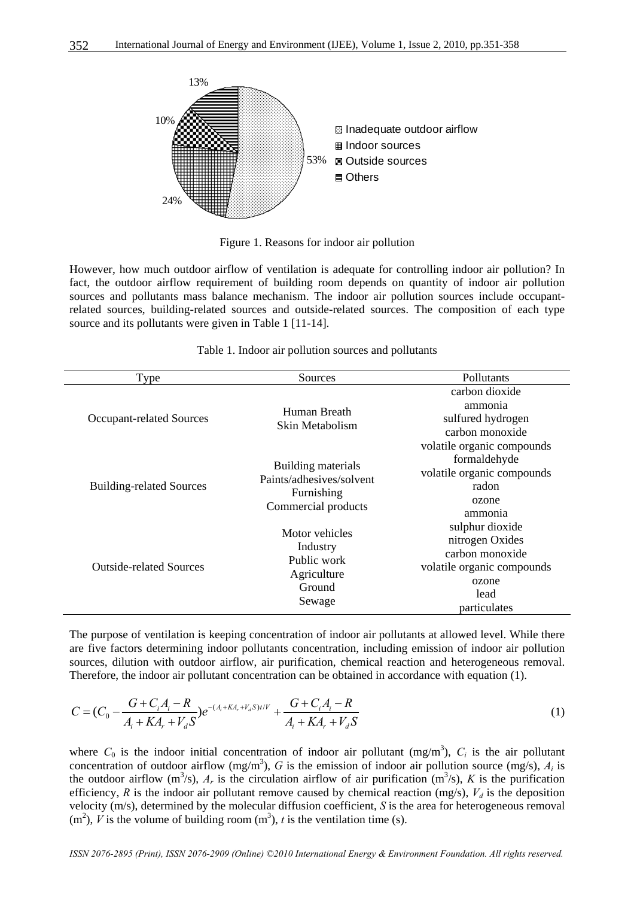

Figure 1. Reasons for indoor air pollution

However, how much outdoor airflow of ventilation is adequate for controlling indoor air pollution? In fact, the outdoor airflow requirement of building room depends on quantity of indoor air pollution sources and pollutants mass balance mechanism. The indoor air pollution sources include occupantrelated sources, building-related sources and outside-related sources. The composition of each type source and its pollutants were given in Table 1 [11-14].

| Type                            | Sources                                                                             | Pollutants                                                                                                           |
|---------------------------------|-------------------------------------------------------------------------------------|----------------------------------------------------------------------------------------------------------------------|
| <b>Occupant-related Sources</b> | Human Breath<br>Skin Metabolism                                                     | carbon dioxide<br>ammonia<br>sulfured hydrogen<br>carbon monoxide<br>volatile organic compounds                      |
| <b>Building-related Sources</b> | Building materials<br>Paints/adhesives/solvent<br>Furnishing<br>Commercial products | formaldehyde<br>volatile organic compounds<br>radon<br>ozone<br>ammonia                                              |
| <b>Outside-related Sources</b>  | Motor vehicles<br>Industry<br>Public work<br>Agriculture<br>Ground<br>Sewage        | sulphur dioxide<br>nitrogen Oxides<br>carbon monoxide<br>volatile organic compounds<br>ozone<br>lead<br>particulates |

| Table 1. Indoor air pollution sources and pollutants |
|------------------------------------------------------|
|------------------------------------------------------|

The purpose of ventilation is keeping concentration of indoor air pollutants at allowed level. While there are five factors determining indoor pollutants concentration, including emission of indoor air pollution sources, dilution with outdoor airflow, air purification, chemical reaction and heterogeneous removal. Therefore, the indoor air pollutant concentration can be obtained in accordance with equation (1).

$$
C = (C_0 - \frac{G + C_i A_i - R}{A_i + K A_r + V_d S})e^{-(A_i + K A_r + V_d S)t/V} + \frac{G + C_i A_i - R}{A_i + K A_r + V_d S}
$$
(1)

where  $C_0$  is the indoor initial concentration of indoor air pollutant (mg/m<sup>3</sup>),  $C_i$  is the air pollutant concentration of outdoor airflow  $(mg/m<sup>3</sup>)$ , *G* is the emission of indoor air pollution source  $(mg/s)$ ,  $A<sub>i</sub>$  is the outdoor airflow  $(m^3/s)$ ,  $A_r$  is the circulation airflow of air purification  $(m^3/s)$ , *K* is the purification efficiency, *R* is the indoor air pollutant remove caused by chemical reaction (mg/s),  $V_d$  is the deposition velocity (m/s), determined by the molecular diffusion coefficient, *S* is the area for heterogeneous removal  $(m<sup>2</sup>)$ , *V* is the volume of building room  $(m<sup>3</sup>)$ , *t* is the ventilation time (s).

*ISSN 2076-2895 (Print), ISSN 2076-2909 (Online) ©2010 International Energy & Environment Foundation. All rights reserved.*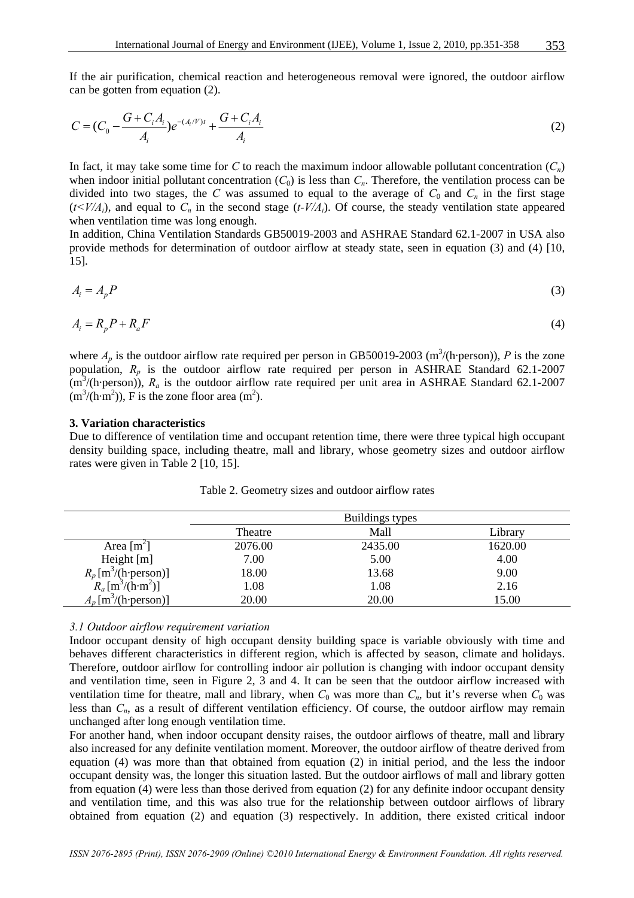If the air purification, chemical reaction and heterogeneous removal were ignored, the outdoor airflow can be gotten from equation (2).

$$
C = (C_0 - \frac{G + C_i A_i}{A_i})e^{-(A_i/V)t} + \frac{G + C_i A_i}{A_i}
$$
\n(2)

In fact, it may take some time for *C* to reach the maximum indoor allowable pollutant concentration  $(C_n)$ when indoor initial pollutant concentration  $(C_0)$  is less than  $C_n$ . Therefore, the ventilation process can be divided into two stages, the *C* was assumed to equal to the average of  $C_0$  and  $C_n$  in the first stage  $(t \leq V/A_i)$ , and equal to  $C_n$  in the second stage  $(t-V/A_i)$ . Of course, the steady ventilation state appeared when ventilation time was long enough.

In addition, China Ventilation Standards GB50019-2003 and ASHRAE Standard 62.1-2007 in USA also provide methods for determination of outdoor airflow at steady state, seen in equation (3) and (4) [10, 15].

$$
A_i = A_p P \tag{3}
$$

$$
A_i = R_p P + R_a F \tag{4}
$$

where  $A_p$  is the outdoor airflow rate required per person in GB50019-2003 (m<sup>3</sup>/(h·person)), *P* is the zone population,  $R_p$  is the outdoor airflow rate required per person in ASHRAE Standard 62.1-2007  $(m<sup>3</sup>/(h-person))$ ,  $R_a$  is the outdoor airflow rate required per unit area in ASHRAE Standard 62.1-2007  $(m<sup>3</sup>/(h·m<sup>2</sup>))$ , F is the zone floor area  $(m<sup>2</sup>)$ .

#### **3. Variation characteristics**

Due to difference of ventilation time and occupant retention time, there were three typical high occupant density building space, including theatre, mall and library, whose geometry sizes and outdoor airflow rates were given in Table 2 [10, 15].

|                                    | Buildings types |         |         |
|------------------------------------|-----------------|---------|---------|
|                                    | Theatre         | Mall    | Library |
| Area $[m^2]$                       | 2076.00         | 2435.00 | 1620.00 |
| Height $[m]$                       | 7.00            | 5.00    | 4.00    |
| $R_p$ [m <sup>3</sup> /(h·person)] | 18.00           | 13.68   | 9.00    |
| $R_a [m^3/(h \cdot m^2)]$          | 1.08            | 1.08    | 2.16    |
| $A_p$ [m <sup>3</sup> /(h·person)] | 20.00           | 20.00   | 15.00   |

Table 2. Geometry sizes and outdoor airflow rates

#### *3.1 Outdoor airflow requirement variation*

Indoor occupant density of high occupant density building space is variable obviously with time and behaves different characteristics in different region, which is affected by season, climate and holidays. Therefore, outdoor airflow for controlling indoor air pollution is changing with indoor occupant density and ventilation time, seen in Figure 2, 3 and 4. It can be seen that the outdoor airflow increased with ventilation time for theatre, mall and library, when  $C_0$  was more than  $C_n$ , but it's reverse when  $C_0$  was less than  $C_n$ , as a result of different ventilation efficiency. Of course, the outdoor airflow may remain unchanged after long enough ventilation time.

For another hand, when indoor occupant density raises, the outdoor airflows of theatre, mall and library also increased for any definite ventilation moment. Moreover, the outdoor airflow of theatre derived from equation (4) was more than that obtained from equation (2) in initial period, and the less the indoor occupant density was, the longer this situation lasted. But the outdoor airflows of mall and library gotten from equation (4) were less than those derived from equation (2) for any definite indoor occupant density and ventilation time, and this was also true for the relationship between outdoor airflows of library obtained from equation (2) and equation (3) respectively. In addition, there existed critical indoor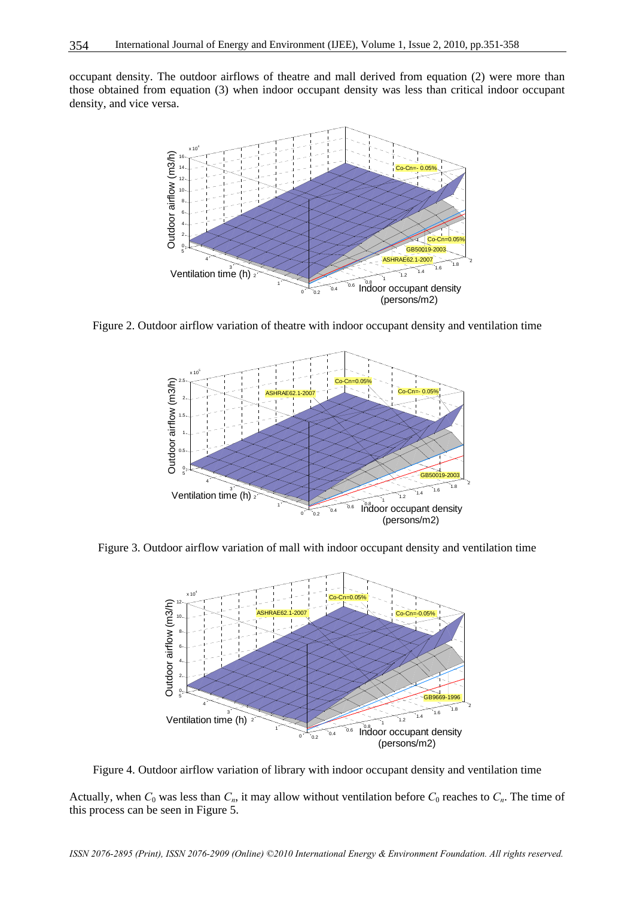occupant density. The outdoor airflows of theatre and mall derived from equation (2) were more than those obtained from equation (3) when indoor occupant density was less than critical indoor occupant density, and vice versa.



Figure 2. Outdoor airflow variation of theatre with indoor occupant density and ventilation time



Figure 3. Outdoor airflow variation of mall with indoor occupant density and ventilation time



Figure 4. Outdoor airflow variation of library with indoor occupant density and ventilation time

Actually, when  $C_0$  was less than  $C_n$ , it may allow without ventilation before  $C_0$  reaches to  $C_n$ . The time of this process can be seen in Figure 5.

*ISSN 2076-2895 (Print), ISSN 2076-2909 (Online) ©2010 International Energy & Environment Foundation. All rights reserved.*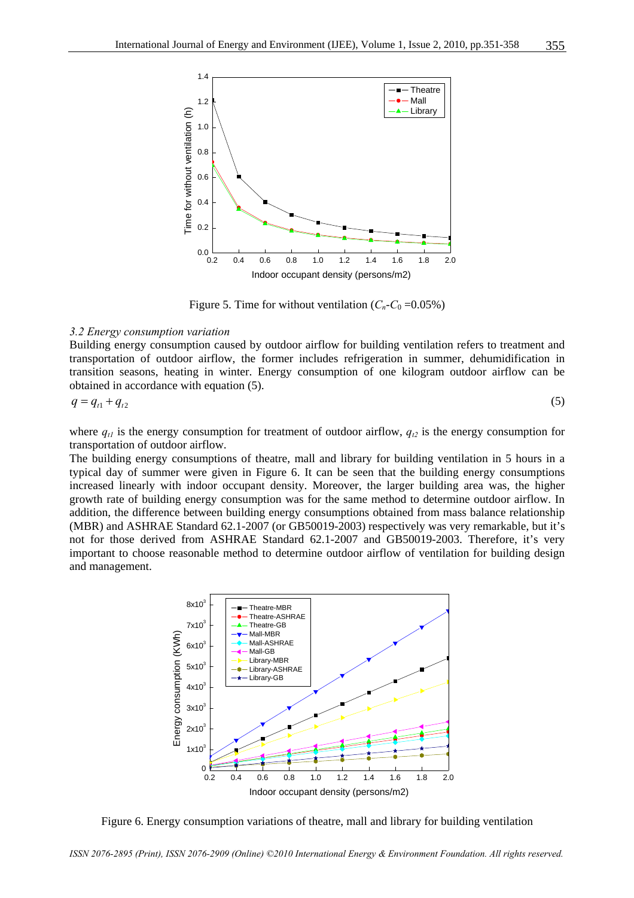

Figure 5. Time for without ventilation  $(C_n-C_0=0.05\%)$ 

#### *3.2 Energy consumption variation*

Building energy consumption caused by outdoor airflow for building ventilation refers to treatment and transportation of outdoor airflow, the former includes refrigeration in summer, dehumidification in transition seasons, heating in winter. Energy consumption of one kilogram outdoor airflow can be obtained in accordance with equation (5).

$$
q = q_{t1} + q_{t2} \tag{5}
$$

where  $q_{tl}$  is the energy consumption for treatment of outdoor airflow,  $q_{t2}$  is the energy consumption for transportation of outdoor airflow.

The building energy consumptions of theatre, mall and library for building ventilation in 5 hours in a typical day of summer were given in Figure 6. It can be seen that the building energy consumptions increased linearly with indoor occupant density. Moreover, the larger building area was, the higher growth rate of building energy consumption was for the same method to determine outdoor airflow. In addition, the difference between building energy consumptions obtained from mass balance relationship (MBR) and ASHRAE Standard 62.1-2007 (or GB50019-2003) respectively was very remarkable, but it's not for those derived from ASHRAE Standard 62.1-2007 and GB50019-2003. Therefore, it's very important to choose reasonable method to determine outdoor airflow of ventilation for building design and management.



Figure 6. Energy consumption variations of theatre, mall and library for building ventilation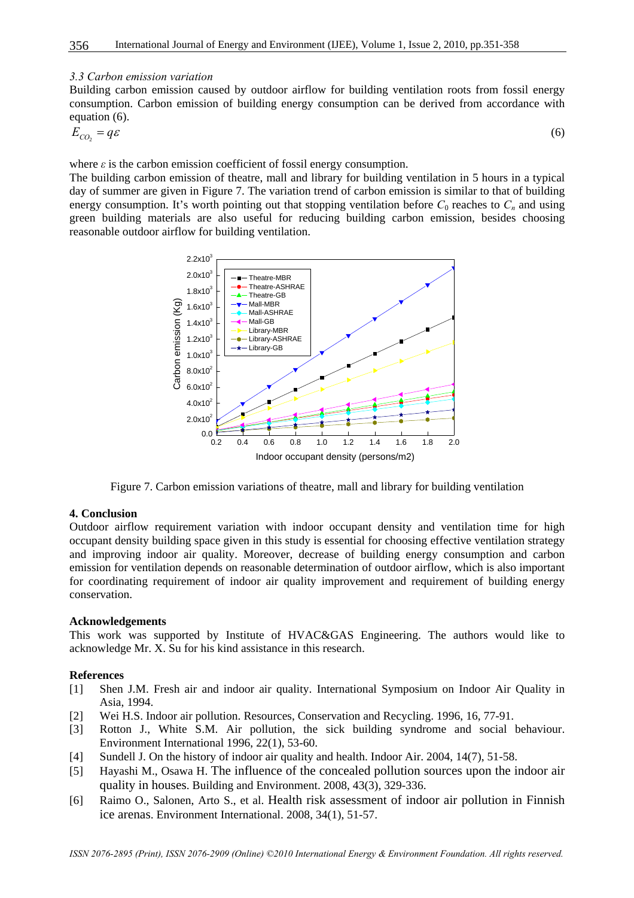#### *3.3 Carbon emission variation*

Building carbon emission caused by outdoor airflow for building ventilation roots from fossil energy consumption. Carbon emission of building energy consumption can be derived from accordance with equation (6).

$$
E_{CO_2} = q\varepsilon \tag{6}
$$

where  $\varepsilon$  is the carbon emission coefficient of fossil energy consumption.

The building carbon emission of theatre, mall and library for building ventilation in 5 hours in a typical day of summer are given in Figure 7. The variation trend of carbon emission is similar to that of building energy consumption. It's worth pointing out that stopping ventilation before  $C_0$  reaches to  $C_n$  and using green building materials are also useful for reducing building carbon emission, besides choosing reasonable outdoor airflow for building ventilation.



Figure 7. Carbon emission variations of theatre, mall and library for building ventilation

#### **4. Conclusion**

Outdoor airflow requirement variation with indoor occupant density and ventilation time for high occupant density building space given in this study is essential for choosing effective ventilation strategy and improving indoor air quality. Moreover, decrease of building energy consumption and carbon emission for ventilation depends on reasonable determination of outdoor airflow, which is also important for coordinating requirement of indoor air quality improvement and requirement of building energy conservation.

#### **Acknowledgements**

This work was supported by Institute of HVAC&GAS Engineering. The authors would like to acknowledge Mr. X. Su for his kind assistance in this research.

#### **References**

- [1] Shen J.M. Fresh air and indoor air quality. International Symposium on Indoor Air Quality in Asia, 1994.
- [2] Wei H.S. Indoor air pollution. Resources, Conservation and Recycling. 1996, 16, 77-91.
- [3] Rotton J., White S.M. Air pollution, the sick building syndrome and social behaviour. Environment International 1996, 22(1), 53-60.
- [4] Sundell J. On the history of indoor air quality and health. Indoor Air. 2004, 14(7), 51-58.
- [5] Hayashi M., Osawa H. The influence of the concealed pollution sources upon the indoor air quality in houses. Building and Environment. 2008, 43(3), 329-336.
- [6] Raimo O., Salonen, Arto S., et al. Health risk assessment of indoor air pollution in Finnish ice arenas. Environment International. 2008, 34(1), 51-57.